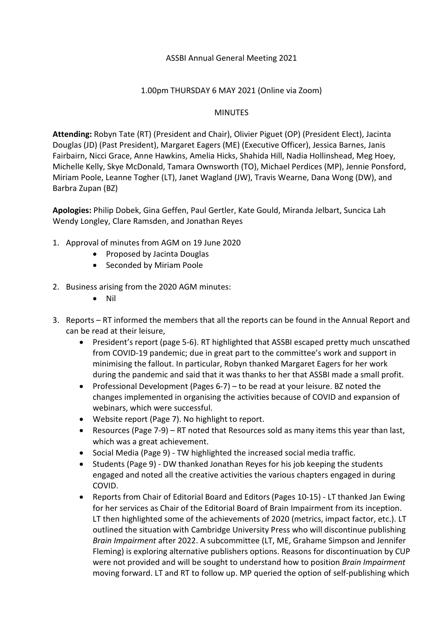### ASSBI Annual General Meeting 2021

#### 1.00pm THURSDAY 6 MAY 2021 (Online via Zoom)

### MINUTES

**Attending:** Robyn Tate (RT) (President and Chair), Olivier Piguet (OP) (President Elect), Jacinta Douglas (JD) (Past President), Margaret Eagers (ME) (Executive Officer), Jessica Barnes, Janis Fairbairn, Nicci Grace, Anne Hawkins, Amelia Hicks, Shahida Hill, Nadia Hollinshead, Meg Hoey, Michelle Kelly, Skye McDonald, Tamara Ownsworth (TO), Michael Perdices (MP), Jennie Ponsford, Miriam Poole, Leanne Togher (LT), Janet Wagland (JW), Travis Wearne, Dana Wong (DW), and Barbra Zupan (BZ)

**Apologies:** Philip Dobek, Gina Geffen, Paul Gertler, Kate Gould, Miranda Jelbart, Suncica Lah Wendy Longley, Clare Ramsden, and Jonathan Reyes

- 1. Approval of minutes from AGM on 19 June 2020
	- Proposed by Jacinta Douglas
	- Seconded by Miriam Poole
- 2. Business arising from the 2020 AGM minutes:
	- Nil
- 3. Reports RT informed the members that all the reports can be found in the Annual Report and can be read at their leisure,
	- President's report (page 5-6). RT highlighted that ASSBI escaped pretty much unscathed from COVID-19 pandemic; due in great part to the committee's work and support in minimising the fallout. In particular, Robyn thanked Margaret Eagers for her work during the pandemic and said that it was thanks to her that ASSBI made a small profit.
	- Professional Development (Pages 6-7) to be read at your leisure. BZ noted the changes implemented in organising the activities because of COVID and expansion of webinars, which were successful.
	- Website report (Page 7). No highlight to report.
	- Resources (Page 7-9) RT noted that Resources sold as many items this year than last, which was a great achievement.
	- Social Media (Page 9) TW highlighted the increased social media traffic.
	- Students (Page 9) DW thanked Jonathan Reyes for his job keeping the students engaged and noted all the creative activities the various chapters engaged in during COVID.
	- Reports from Chair of Editorial Board and Editors (Pages 10-15) LT thanked Jan Ewing for her services as Chair of the Editorial Board of Brain Impairment from its inception. LT then highlighted some of the achievements of 2020 (metrics, impact factor, etc.). LT outlined the situation with Cambridge University Press who will discontinue publishing *Brain Impairment* after 2022. A subcommittee (LT, ME, Grahame Simpson and Jennifer Fleming) is exploring alternative publishers options. Reasons for discontinuation by CUP were not provided and will be sought to understand how to position *Brain Impairment* moving forward. LT and RT to follow up. MP queried the option of self-publishing which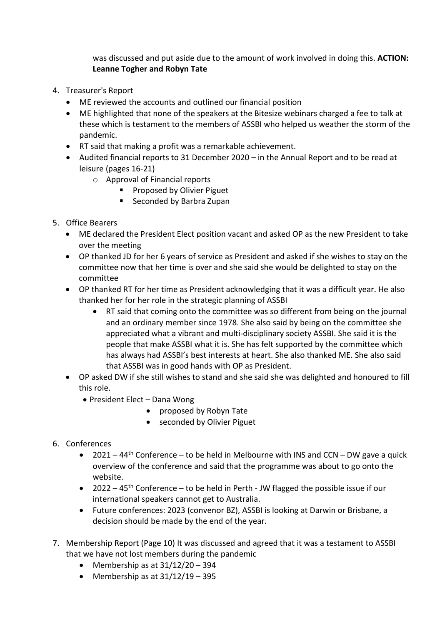was discussed and put aside due to the amount of work involved in doing this. **ACTION: Leanne Togher and Robyn Tate**

- 4. Treasurer's Report
	- ME reviewed the accounts and outlined our financial position
	- ME highlighted that none of the speakers at the Bitesize webinars charged a fee to talk at these which is testament to the members of ASSBI who helped us weather the storm of the pandemic.
	- RT said that making a profit was a remarkable achievement.
	- Audited financial reports to 31 December 2020 in the Annual Report and to be read at leisure (pages 16-21)
		- o Approval of Financial reports
			- **Proposed by Olivier Piguet**
			- Seconded by Barbra Zupan
- 5. Office Bearers
	- ME declared the President Elect position vacant and asked OP as the new President to take over the meeting
	- OP thanked JD for her 6 years of service as President and asked if she wishes to stay on the committee now that her time is over and she said she would be delighted to stay on the committee
	- OP thanked RT for her time as President acknowledging that it was a difficult year. He also thanked her for her role in the strategic planning of ASSBI
		- RT said that coming onto the committee was so different from being on the journal and an ordinary member since 1978. She also said by being on the committee she appreciated what a vibrant and multi-disciplinary society ASSBI. She said it is the people that make ASSBI what it is. She has felt supported by the committee which has always had ASSBI's best interests at heart. She also thanked ME. She also said that ASSBI was in good hands with OP as President.
	- OP asked DW if she still wishes to stand and she said she was delighted and honoured to fill this role.
		- President Elect Dana Wong
			- proposed by Robyn Tate
			- seconded by Olivier Piguet

# 6. Conferences

- 2021 44<sup>th</sup> Conference to be held in Melbourne with INS and CCN DW gave a quick overview of the conference and said that the programme was about to go onto the website.
- 2022 45<sup>th</sup> Conference to be held in Perth JW flagged the possible issue if our international speakers cannot get to Australia.
- Future conferences: 2023 (convenor BZ), ASSBI is looking at Darwin or Brisbane, a decision should be made by the end of the year.
- 7. Membership Report (Page 10) It was discussed and agreed that it was a testament to ASSBI that we have not lost members during the pandemic
	- Membership as at  $31/12/20 394$
	- Membership as at  $31/12/19 395$